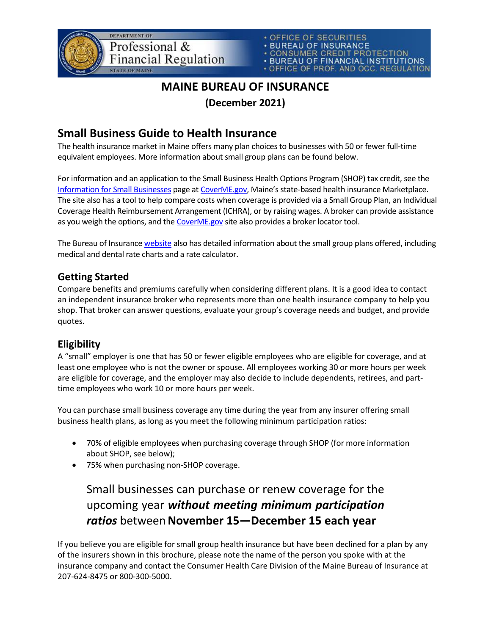

**DEPARTMENT OF** Professional & **Financial Regulation TATE OF MAINE** 

# **MAINE BUREAU OF INSURANCE (December 2021)**

# **Small Business Guide to Health Insurance**

The health insurance market in Maine offers many plan choices to businesses with 50 or fewer full-time equivalent employees. More information about small group plans can be found below.

For information and an application to the Small Business Health Options Program (SHOP) tax credit, see the [Information for Small Businesses](https://www.coverme.gov/get-started/information-for-small-businesses) page at [CoverME.gov,](https://www.coverme.gov/) Maine's state-based health insurance Marketplace. The site also has a tool to help compare costs when coverage is provided via a Small Group Plan, an Individual Coverage Health Reimbursement Arrangement (ICHRA), or by raising wages. A broker can provide assistance as you weigh the options, and th[e CoverME.gov](https://www.coverme.gov/) site also provides a broker locator tool.

The Bureau of Insurance [website](https://www.maine.gov/pfr/insurance/consumers/health-insurance-for-small-businesses) also has detailed information about the small group plans offered, including medical and dental rate charts and a rate calculator.

#### **Getting Started**

Compare benefits and premiums carefully when considering different plans. It is a good idea to contact an independent insurance broker who represents more than one health insurance company to help you shop. That broker can answer questions, evaluate your group's coverage needs and budget, and provide quotes.

#### **Eligibility**

A "small" employer is one that has 50 or fewer eligible employees who are eligible for coverage, and at least one employee who is not the owner or spouse. All employees working 30 or more hours per week are eligible for coverage, and the employer may also decide to include dependents, retirees, and parttime employees who work 10 or more hours per week.

You can purchase small business coverage any time during the year from any insurer offering small business health plans, as long as you meet the following minimum participation ratios:

- 70% of eligible employees when purchasing coverage through SHOP (for more information about SHOP, see below);
- 75% when purchasing non-SHOP coverage.

# Small businesses can purchase or renew coverage for the upcoming year *without meeting minimum participation ratios* between**November 15—December 15 each year**

If you believe you are eligible for small group health insurance but have been declined for a plan by any of the insurers shown in this brochure, please note the name of the person you spoke with at the insurance company and contact the Consumer Health Care Division of the Maine Bureau of Insurance at 207-624-8475 or 800-300-5000.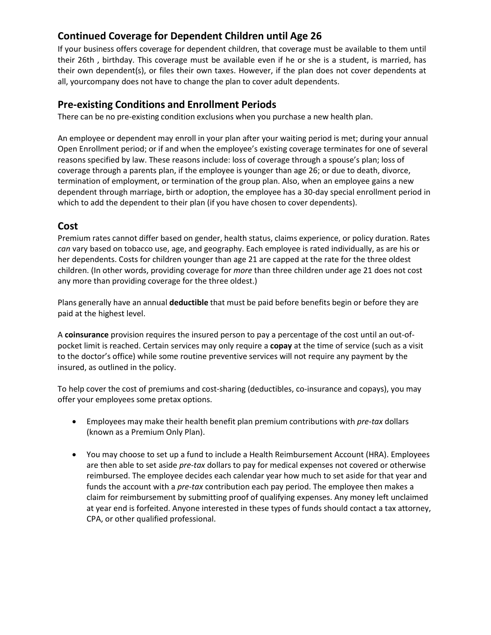## **Continued Coverage for Dependent Children until Age 26**

If your business offers coverage for dependent children, that coverage must be available to them until their 26th , birthday. This coverage must be available even if he or she is a student, is married, has their own dependent(s), or files their own taxes. However, if the plan does not cover dependents at all, yourcompany does not have to change the plan to cover adult dependents.

#### **Pre-existing Conditions and Enrollment Periods**

There can be no pre-existing condition exclusions when you purchase a new health plan.

An employee or dependent may enroll in your plan after your waiting period is met; during your annual Open Enrollment period; or if and when the employee's existing coverage terminates for one of several reasons specified by law. These reasons include: loss of coverage through a spouse's plan; loss of coverage through a parents plan, if the employee is younger than age 26; or due to death, divorce, termination of employment, or termination of the group plan. Also, when an employee gains a new dependent through marriage, birth or adoption, the employee has a 30-day special enrollment period in which to add the dependent to their plan (if you have chosen to cover dependents).

#### **Cost**

Premium rates cannot differ based on gender, health status, claims experience, or policy duration. Rates *can* vary based on tobacco use, age, and geography. Each employee is rated individually, as are his or her dependents. Costs for children younger than age 21 are capped at the rate for the three oldest children. (In other words, providing coverage for *more* than three children under age 21 does not cost any more than providing coverage for the three oldest.)

Plans generally have an annual **deductible** that must be paid before benefits begin or before they are paid at the highest level.

A **coinsurance** provision requires the insured person to pay a percentage of the cost until an out-ofpocket limit is reached. Certain services may only require a **copay** at the time of service (such as a visit to the doctor's office) while some routine preventive services will not require any payment by the insured, as outlined in the policy.

To help cover the cost of premiums and cost-sharing (deductibles, co-insurance and copays), you may offer your employees some pretax options.

- Employees may make their health benefit plan premium contributions with *pre-tax* dollars (known as a Premium Only Plan).
- You may choose to set up a fund to include a Health Reimbursement Account (HRA). Employees are then able to set aside *pre-tax* dollars to pay for medical expenses not covered or otherwise reimbursed. The employee decides each calendar year how much to set aside for that year and funds the account with a *pre-tax* contribution each pay period. The employee then makes a claim for reimbursement by submitting proof of qualifying expenses. Any money left unclaimed at year end is forfeited. Anyone interested in these types of funds should contact a tax attorney, CPA, or other qualified professional.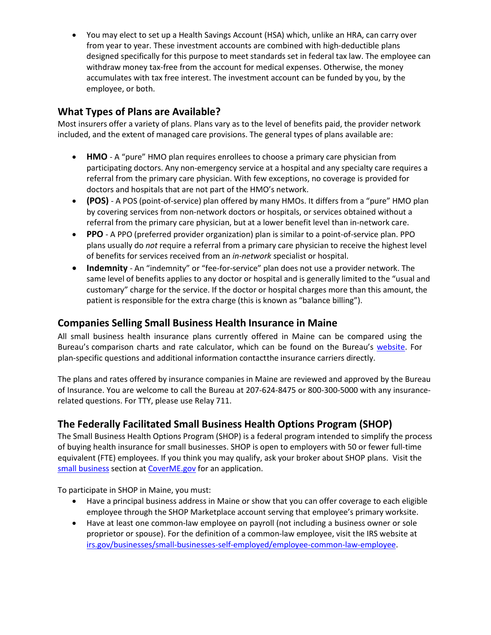• You may elect to set up a Health Savings Account (HSA) which, unlike an HRA, can carry over from year to year. These investment accounts are combined with high-deductible plans designed specifically for this purpose to meet standards set in federal tax law. The employee can withdraw money tax-free from the account for medical expenses. Otherwise, the money accumulates with tax free interest. The investment account can be funded by you, by the employee, or both.

## **What Types of Plans are Available?**

Most insurers offer a variety of plans. Plans vary as to the level of benefits paid, the provider network included, and the extent of managed care provisions. The general types of plans available are:

- **HMO**  A "pure" HMO plan requires enrollees to choose a primary care physician from participating doctors. Any non-emergency service at a hospital and any specialty care requires a referral from the primary care physician. With few exceptions, no coverage is provided for doctors and hospitals that are not part of the HMO's network.
- **(POS)**  A POS (point-of-service) plan offered by many HMOs. It differs from a "pure" HMO plan by covering services from non-network doctors or hospitals, or services obtained without a referral from the primary care physician, but at a lower benefit level than in-network care.
- **PPO**  A PPO (preferred provider organization) plan is similar to a point-of-service plan. PPO plans usually do *not* require a referral from a primary care physician to receive the highest level of benefits for services received from an *in-network* specialist or hospital.
- **Indemnity**  An "indemnity" or "fee-for-service" plan does not use a provider network. The same level of benefits applies to any doctor or hospital and is generally limited to the "usual and customary" charge for the service. If the doctor or hospital charges more than this amount, the patient is responsible for the extra charge (this is known as "balance billing").

#### **Companies Selling Small Business Health Insurance in Maine**

All small business health insurance plans currently offered in Maine can be compared using the Bureau's comparison charts and rate calculator, which can be found on the Bureau's [website.](https://www.maine.gov/pfr/insurance/consumers/health-insurance-for-small-businesses) For plan-specific questions and additional information contact the insurance carriers directly.

The plans and rates offered by insurance companies in Maine are reviewed and approved by the Bureau of Insurance. You are welcome to call the Bureau at 207-624-8475 or 800-300-5000 with any insurancerelated questions. For TTY, please use Relay 711.

### **The Federally Facilitated Small Business Health Options Program (SHOP)**

The Small Business Health Options Program (SHOP) is a federal program intended to simplify the process of buying health insurance for small businesses. SHOP is open to employers with 50 or fewer full-time equivalent (FTE) employees. If you think you may qualify, ask your broker about SHOP plans. Visit the [small business](https://www.coverme.gov/get-started/information-for-small-businesses) section a[t CoverME.gov](https://www.coverme.gov/) for an application.

To participate in SHOP in Maine, you must:

- Have a principal business address in Maine or show that you can offer coverage to each eligible employee through the SHOP Marketplace account serving that employee's primary worksite.
- Have at least one common-law employee on payroll (not including a business owner or sole proprietor or spouse). For the definition of a common-law employee, visit the IRS website at [irs.gov/businesses/small-businesses-self-employed/employee-common-law-employee.](https://www.irs.gov/businesses/small-businesses-self-employed/employee-common-law-employee)